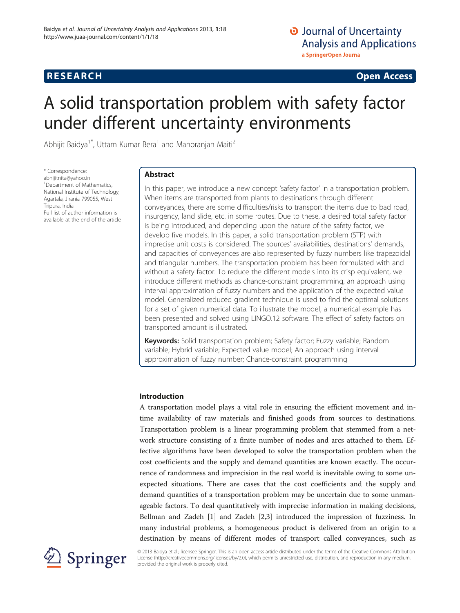# **RESEARCH CHINESE ARCH CHINESE ARCH CHINESE ARCH <b>CHINESE ARCH**

# A solid transportation problem with safety factor under different uncertainty environments

Abhijit Baidya<sup>1\*</sup>, Uttam Kumar Bera<sup>1</sup> and Manoranjan Maiti<sup>2</sup>

\* Correspondence: [abhijitnita@yahoo.in](mailto:abhijitnita@yahoo.in) <sup>1</sup> Department of Mathematics, National Institute of Technology, Agartala, Jirania 799055, West Tripura, India Full list of author information is available at the end of the article

# Abstract

In this paper, we introduce a new concept 'safety factor' in a transportation problem. When items are transported from plants to destinations through different conveyances, there are some difficulties/risks to transport the items due to bad road, insurgency, land slide, etc. in some routes. Due to these, a desired total safety factor is being introduced, and depending upon the nature of the safety factor, we develop five models. In this paper, a solid transportation problem (STP) with imprecise unit costs is considered. The sources' availabilities, destinations' demands, and capacities of conveyances are also represented by fuzzy numbers like trapezoidal and triangular numbers. The transportation problem has been formulated with and without a safety factor. To reduce the different models into its crisp equivalent, we introduce different methods as chance-constraint programming, an approach using interval approximation of fuzzy numbers and the application of the expected value model. Generalized reduced gradient technique is used to find the optimal solutions for a set of given numerical data. To illustrate the model, a numerical example has been presented and solved using LINGO.12 software. The effect of safety factors on transported amount is illustrated.

Keywords: Solid transportation problem; Safety factor; Fuzzy variable; Random variable; Hybrid variable; Expected value model; An approach using interval approximation of fuzzy number; Chance-constraint programming

# Introduction

A transportation model plays a vital role in ensuring the efficient movement and intime availability of raw materials and finished goods from sources to destinations. Transportation problem is a linear programming problem that stemmed from a network structure consisting of a finite number of nodes and arcs attached to them. Effective algorithms have been developed to solve the transportation problem when the cost coefficients and the supply and demand quantities are known exactly. The occurrence of randomness and imprecision in the real world is inevitable owing to some unexpected situations. There are cases that the cost coefficients and the supply and demand quantities of a transportation problem may be uncertain due to some unmanageable factors. To deal quantitatively with imprecise information in making decisions, Bellman and Zadeh [[1\]](#page-21-0) and Zadeh [[2,3\]](#page-21-0) introduced the impression of fuzziness. In many industrial problems, a homogeneous product is delivered from an origin to a destination by means of different modes of transport called conveyances, such as



© 2013 Baidya et al.; licensee Springer. This is an open access article distributed under the terms of the Creative Commons Attribution License [\(http://creativecommons.org/licenses/by/2.0\)](http://creativecommons.org/licenses/by/2.0), which permits unrestricted use, distribution, and reproduction in any medium, provided the original work is properly cited.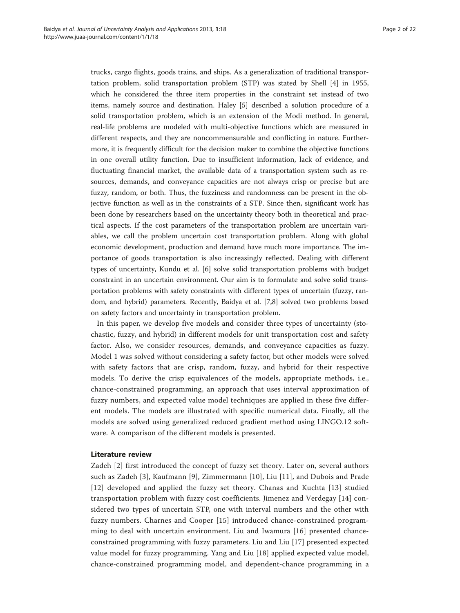trucks, cargo flights, goods trains, and ships. As a generalization of traditional transportation problem, solid transportation problem (STP) was stated by Shell [[4\]](#page-21-0) in 1955, which he considered the three item properties in the constraint set instead of two items, namely source and destination. Haley [\[5](#page-21-0)] described a solution procedure of a solid transportation problem, which is an extension of the Modi method. In general, real-life problems are modeled with multi-objective functions which are measured in different respects, and they are noncommensurable and conflicting in nature. Furthermore, it is frequently difficult for the decision maker to combine the objective functions in one overall utility function. Due to insufficient information, lack of evidence, and fluctuating financial market, the available data of a transportation system such as resources, demands, and conveyance capacities are not always crisp or precise but are fuzzy, random, or both. Thus, the fuzziness and randomness can be present in the objective function as well as in the constraints of a STP. Since then, significant work has been done by researchers based on the uncertainty theory both in theoretical and practical aspects. If the cost parameters of the transportation problem are uncertain variables, we call the problem uncertain cost transportation problem. Along with global economic development, production and demand have much more importance. The importance of goods transportation is also increasingly reflected. Dealing with different types of uncertainty, Kundu et al. [\[6](#page-21-0)] solve solid transportation problems with budget constraint in an uncertain environment. Our aim is to formulate and solve solid transportation problems with safety constraints with different types of uncertain (fuzzy, random, and hybrid) parameters. Recently, Baidya et al. [\[7,8](#page-21-0)] solved two problems based on safety factors and uncertainty in transportation problem.

In this paper, we develop five models and consider three types of uncertainty (stochastic, fuzzy, and hybrid) in different models for unit transportation cost and safety factor. Also, we consider resources, demands, and conveyance capacities as fuzzy. Model 1 was solved without considering a safety factor, but other models were solved with safety factors that are crisp, random, fuzzy, and hybrid for their respective models. To derive the crisp equivalences of the models, appropriate methods, i.e., chance-constrained programming, an approach that uses interval approximation of fuzzy numbers, and expected value model techniques are applied in these five different models. The models are illustrated with specific numerical data. Finally, all the models are solved using generalized reduced gradient method using LINGO.12 software. A comparison of the different models is presented.

# Literature review

Zadeh [[2\]](#page-21-0) first introduced the concept of fuzzy set theory. Later on, several authors such as Zadeh [\[3](#page-21-0)], Kaufmann [[9](#page-21-0)], Zimmermann [\[10\]](#page-21-0), Liu [[11](#page-21-0)], and Dubois and Prade [[12](#page-21-0)] developed and applied the fuzzy set theory. Chanas and Kuchta [[13](#page-21-0)] studied transportation problem with fuzzy cost coefficients. Jimenez and Verdegay [[14](#page-21-0)] considered two types of uncertain STP, one with interval numbers and the other with fuzzy numbers. Charnes and Cooper [[15\]](#page-21-0) introduced chance-constrained programming to deal with uncertain environment. Liu and Iwamura [\[16](#page-21-0)] presented chanceconstrained programming with fuzzy parameters. Liu and Liu [[17](#page-21-0)] presented expected value model for fuzzy programming. Yang and Liu [[18](#page-21-0)] applied expected value model, chance-constrained programming model, and dependent-chance programming in a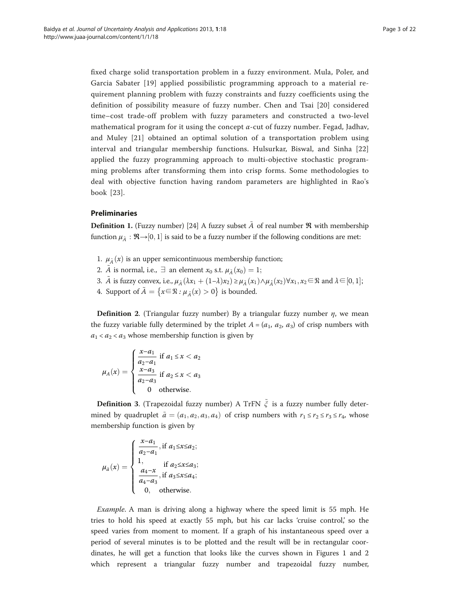fixed charge solid transportation problem in a fuzzy environment. Mula, Poler, and Garcia Sabater [[19\]](#page-21-0) applied possibilistic programming approach to a material requirement planning problem with fuzzy constraints and fuzzy coefficients using the definition of possibility measure of fuzzy number. Chen and Tsai [[20](#page-21-0)] considered time–cost trade-off problem with fuzzy parameters and constructed a two-level mathematical program for it using the concept  $\alpha$ -cut of fuzzy number. Fegad, Jadhav, and Muley [\[21](#page-21-0)] obtained an optimal solution of a transportation problem using interval and triangular membership functions. Hulsurkar, Biswal, and Sinha [\[22](#page-21-0)] applied the fuzzy programming approach to multi-objective stochastic programming problems after transforming them into crisp forms. Some methodologies to deal with objective function having random parameters are highlighted in Rao's book [[23](#page-21-0)].

# Preliminaries

**Definition 1.** (Fuzzy number) [[24](#page-21-0)] A fuzzy subset  $\tilde{A}$  of real number  $\Re$  with membership function  $\mu_{\tilde{A}}: \mathfrak{R} {\rightarrow} [0,1]$  is said to be a fuzzy number if the following conditions are met:

- 1.  $\mu_{\tilde{A}}(x)$  is an upper semicontinuous membership function;
- 2.  $\tilde{A}$  is normal, i.e.,  $\exists$  an element  $x_0$  s.t.  $\mu_{\tilde{A}}(x_0) = 1;$
- 3.  $\tilde{A}$  is fuzzy convex, i.e.,  $\mu_{\tilde{A}}(\lambda x_1 + (1-\lambda)x_2) \ge \mu_{\tilde{A}}(x_1) \wedge \mu_{\tilde{A}}(x_2) \forall x_1, x_2 \in \mathbb{R}$  and  $\lambda \in [0, 1]$ ;
- 4. Support of  $\tilde{A} = \{x \in \mathbb{R} : \mu_{\tilde{A}}(x) > 0\}$  is bounded.

**Definition 2.** (Triangular fuzzy number) By a triangular fuzzy number  $\eta$ , we mean the fuzzy variable fully determined by the triplet  $A = (a_1, a_2, a_3)$  of crisp numbers with  $a_1 < a_2 < a_3$  whose membership function is given by

$$
\mu_A(x) = \begin{cases}\n\frac{x-a_1}{a_2 - a_1} & \text{if } a_1 \le x < a_2 \\
\frac{x-a_3}{a_2 - a_3} & \text{if } a_2 \le x < a_3 \\
0 & \text{otherwise.} \n\end{cases}
$$

**Definition 3.** (Trapezoidal fuzzy number) A TrFN  $\tilde{\xi}$  is a fuzzy number fully determined by quadruplet  $\tilde{a} = (a_1, a_2, a_3, a_4)$  of crisp numbers with  $r_1 \le r_2 \le r_3 \le r_4$ , whose membership function is given by

$$
\mu_{\tilde{a}}(x) = \begin{cases}\n\frac{x - a_1}{a_2 - a_1}, & \text{if } a_1 \le x \le a_2; \\
1, & \text{if } a_2 \le x \le a_3; \\
\frac{a_4 - x}{a_4 - a_3}, & \text{if } a_3 \le x \le a_4; \\
0, & \text{otherwise.} \n\end{cases}
$$

Example. A man is driving along a highway where the speed limit is 55 mph. He tries to hold his speed at exactly 55 mph, but his car lacks 'cruise control,' so the speed varies from moment to moment. If a graph of his instantaneous speed over a period of several minutes is to be plotted and the result will be in rectangular coordinates, he will get a function that looks like the curves shown in Figures [1](#page-3-0) and [2](#page-3-0) which represent a triangular fuzzy number and trapezoidal fuzzy number,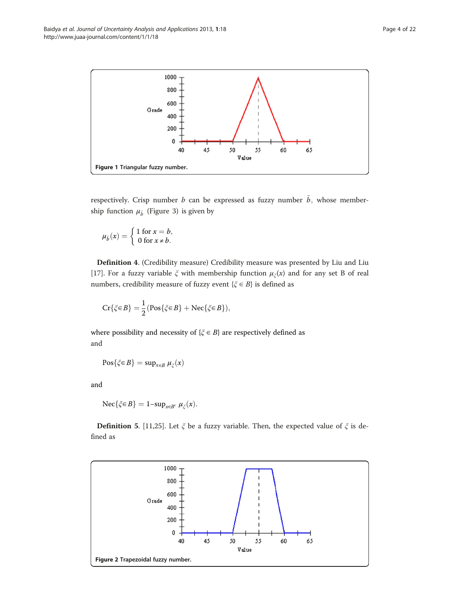<span id="page-3-0"></span>Baidya et al. Journal of Uncertainty Analysis and Applications 2013, 1:18 Page 4 of 22 http://www.juaa-journal.com/content/1/1/18



respectively. Crisp number b can be expressed as fuzzy number  $\tilde{b}$ , whose membership function  $\mu_{\tilde{b}}$  (Figure [3](#page-4-0)) is given by

$$
\mu_{\tilde{b}}(x) = \begin{cases} 1 \text{ for } x = b, \\ 0 \text{ for } x \neq b. \end{cases}
$$

Definition 4. (Credibility measure) Credibility measure was presented by Liu and Liu [[17\]](#page-21-0). For a fuzzy variable  $\xi$  with membership function  $\mu_{\xi}(x)$  and for any set B of real numbers, credibility measure of fuzzy event { $\xi \in B$ } is defined as

$$
\mathrm{Cr}\{\xi{\in}B\}=\frac{1}{2}(\mathrm{Pos}\{\xi{\in}B\}+\mathrm{Nec}\{\xi{\in}B\}),
$$

where possibility and necessity of  $\{\xi \in B\}$  are respectively defined as and

$$
Pos\{\zeta \in B\} = \sup_{x \in B} \mu_{\zeta}(x)
$$

and

$$
\operatorname{Nec}\{\xi \in B\} = 1 - \sup_{x \in B^c} \mu_{\xi}(x).
$$

**Definition 5.** [[11,25\]](#page-21-0). Let  $\xi$  be a fuzzy variable. Then, the expected value of  $\xi$  is defined as

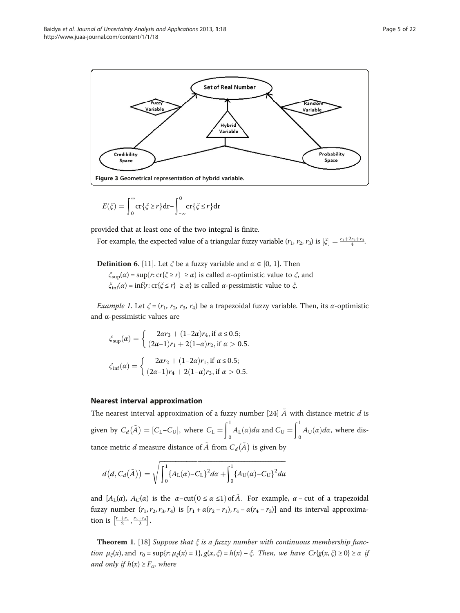<span id="page-4-0"></span>

$$
E(\zeta) = \int_0^\infty \operatorname{cr}\{\zeta \ge r\} \mathrm{dr} - \int_{-\infty}^0 \operatorname{cr}\{\zeta \le r\} \mathrm{dr}
$$

provided that at least one of the two integral is finite.

For example, the expected value of a triangular fuzzy variable  $(r_1, r_2, r_3)$  is  $[\xi] = \frac{r_1 + 2r_2 + r_3}{4}$ .

**Definition 6.** [[11](#page-21-0)]. Let  $\xi$  be a fuzzy variable and  $\alpha \in [0, 1]$ . Then

 $\zeta_{\text{sup}}(\alpha) = \sup\{r: \text{cr}\{\zeta \geq r\} \geq \alpha\}$  is called  $\alpha$ -optimistic value to  $\zeta$ , and  $\zeta_{\text{inf}}(\alpha) = \inf\{r: \text{cr}\{\zeta \leq r\} \geq \alpha\}$  is called  $\alpha$ -pessimistic value to  $\zeta$ .

*Example 1*. Let  $\xi = (r_1, r_2, r_3, r_4)$  be a trapezoidal fuzzy variable. Then, its  $\alpha$ -optimistic and α-pessimistic values are

$$
\xi_{\text{sup}}(\alpha) = \begin{cases}\n2\alpha r_3 + (1 - 2\alpha)r_4, \text{ if } \alpha \le 0.5; \\
(2\alpha - 1)r_1 + 2(1 - \alpha)r_2, \text{ if } \alpha > 0.5.\n\end{cases}
$$
\n
$$
\xi_{\text{inf}}(\alpha) = \begin{cases}\n2\alpha r_2 + (1 - 2\alpha)r_1, \text{ if } \alpha \le 0.5; \\
(2\alpha - 1)r_4 + 2(1 - \alpha)r_3, \text{ if } \alpha > 0.5.\n\end{cases}
$$

# Nearest interval approximation

The nearest interval approximation of a fuzzy number [\[24](#page-21-0)]  $\tilde{A}$  with distance metric  $d$  is given by  $C_d(\tilde{A}) = [C_L - C_U]$ , where  $C_L = \int_0^1 A_L(\alpha) d\alpha$  and  $C_U = \int_0^1 A_U(\alpha) d\alpha$ , where distance metric  $d$  measure distance of  $\tilde{A}$  from  $C_d (\tilde{A})$  is given by

$$
d(a, C_d(\tilde{A})) = \sqrt{\int_0^1 \{A_L(\alpha) - C_L\}^2 d\alpha + \int_0^1 \{A_U(\alpha) - C_U\}^2 d\alpha}
$$

and  $[A_L(\alpha), A_U(\alpha)]$  is the  $\alpha$ -cut $(0 \le \alpha \le 1)$  of  $\tilde{A}$ . For example,  $\alpha$ -cut of a trapezoidal fuzzy number  $(r_1, r_2, r_3, r_4)$  is  $[r_1 + \alpha(r_2 - r_1), r_4 - \alpha(r_4 - r_3)]$  and its interval approximation is  $\left[\frac{r_1+r_2}{2}, \frac{r_3+r_4}{2}\right]$ .

**Theorem 1.** [[18\]](#page-21-0) Suppose that  $\xi$  is a fuzzy number with continuous membership function  $\mu_{\xi}(x)$ , and  $r_0 = \sup\{r: \mu_{\xi}(x) = 1\}$ ,  $g(x, \xi) = h(x) - \xi$ . Then, we have  $Cr\{g(x, \xi) \ge 0\} \ge \alpha$  if and only if  $h(x) \ge F_{\alpha}$ , where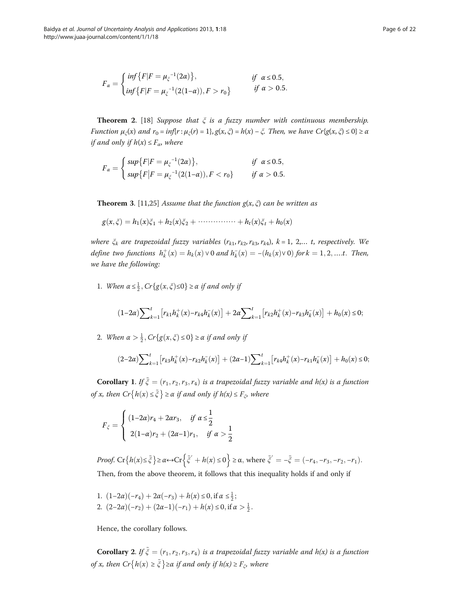$$
F_{\alpha} = \begin{cases} \inf \{ F | F = \mu_{\xi}^{-1}(2\alpha) \}, & \text{if } \alpha \le 0.5, \\ \inf \{ F | F = \mu_{\xi}^{-1}(2(1-\alpha)), F > r_0 \} & \text{if } \alpha > 0.5. \end{cases}
$$

**Theorem 2.** [\[18](#page-21-0)] Suppose that  $\xi$  is a fuzzy number with continuous membership. Function  $\mu_{\zeta}(x)$  and  $r_0 = inf\{r : \mu_{\zeta}(r) = 1\}$ ,  $g(x, \zeta) = h(x) - \zeta$ . Then, we have  $Cr\{g(x, \zeta) \le 0\} \ge \alpha$ if and only if  $h(x) \leq F_\alpha$ , where

$$
F_{\alpha} = \begin{cases} \sup \{ F | F = \mu_{\xi}^{-1}(2\alpha) \}, & \text{if } \alpha \le 0.5, \\ \sup \{ F | F = \mu_{\xi}^{-1}(2(1-\alpha)), F < r_0 \} & \text{if } \alpha > 0.5. \end{cases}
$$

**Theorem 3.** [[11,25](#page-21-0)] Assume that the function  $g(x, \xi)$  can be written as

 $g(x, \xi) = h_1(x)\xi_1 + h_2(x)\xi_2 + \cdots + h_t(x)\xi_t + h_0(x)$ 

where  $\xi_k$  are trapezoidal fuzzy variables  $(r_{k1}, r_{k2}, r_{k3}, r_{k4})$ ,  $k = 1, 2,... t$ , respectively. We define two functions  $h_k^+(x) = h_k(x) \vee 0$  and  $h_k^-(x) = -(h_k(x) \vee 0)$  for  $k = 1, 2, \dots, t$ . Then, we have the following:

1. When  $\alpha \leq \frac{1}{2}$ ,  $Cr{g(x, \xi) \leq 0} \geq \alpha$  if and only if

$$
(1-2\alpha)\sum\nolimits_{k=1}^{t} \left[ r_{k1} h_k^+(x) - r_{k4} h_k^-(x) \right] + 2\alpha \sum\nolimits_{k=1}^{t} \left[ r_{k2} h_k^+(x) - r_{k3} h_k^-(x) \right] + h_0(x) \leq 0;
$$

2. When  $\alpha > \frac{1}{2}$ ,  $Cr{g(x, \xi) \le 0} \ge \alpha$  if and only if

$$
(2-2\alpha)\sum\nolimits_{k=1}^{t} \left[ r_{k3} h_k^+(x) - r_{k2} h_k^-(x) \right] + (2\alpha - 1)\sum\nolimits_{k=1}^{t} \left[ r_{k4} h_k^+(x) - r_{k1} h_k^-(x) \right] + h_0(x) \le 0;
$$

**Corollary 1.** If  $\tilde{\xi} = (r_1, r_2, r_3, r_4)$  is a trapezoidal fuzzy variable and h(x) is a function of x, then  $Cr\{h(x) \leq \tilde{\xi}\}\geq \alpha$  if and only if  $h(x) \leq F_{\xi}$ , where

$$
F_{\xi} = \begin{cases} (1-2\alpha)r_4 + 2\alpha r_3, & \text{if } \alpha \leq \frac{1}{2} \\ 2(1-\alpha)r_2 + (2\alpha-1)r_1, & \text{if } \alpha > \frac{1}{2} \end{cases}
$$

Proof. Cr $\{h(x) \leq \tilde{\xi}\} \geq \alpha \leftrightarrow Cr\left\{\tilde{\xi}' + h(x) \leq 0\right\} \geq \alpha$ , where  $\tilde{\xi}' = -\tilde{\xi} = (-r_4, -r_3, -r_2, -r_1)$ . Then, from the above theorem, it follows that this inequality holds if and only if

1.  $(1-2\alpha)(-r_4) + 2\alpha(-r_3) + h(x) \le 0$ , if  $\alpha \le \frac{1}{2}$ ; 2.  $(2-2\alpha)(-r_2) + (2\alpha-1)(-r_1) + h(x) \le 0$ , if  $\alpha > \frac{1}{2}$ .

Hence, the corollary follows.

**Corollary 2.** If  $\tilde{\xi} = (r_1, r_2, r_3, r_4)$  is a trapezoidal fuzzy variable and h(x) is a function of x, then  $Cr{h(x) \ge \tilde{\xi}}$  ≥  $\alpha$  if and only if  $h(x) \ge F_{\xi}$ , where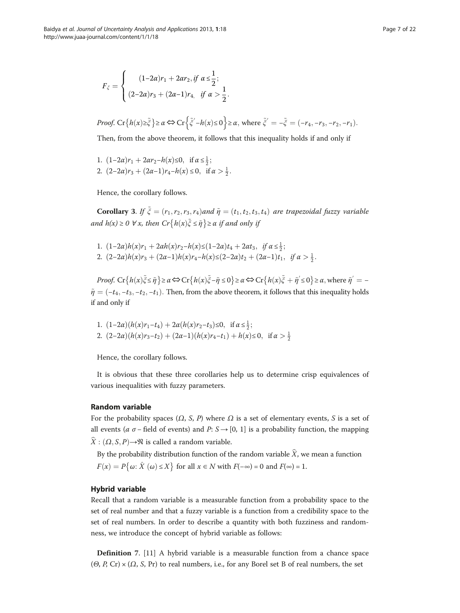<span id="page-6-0"></span>
$$
F_{\xi} = \begin{cases} (1-2\alpha)r_1 + 2\alpha r_2, if \ \alpha \leq \frac{1}{2}; \\ (2-2\alpha)r_3 + (2\alpha - 1)r_4, & if \ \alpha > \frac{1}{2}. \end{cases}
$$

*Proof.* Cr
$$
\{h(x)\geq \tilde{\xi}\}\geq \alpha \Leftrightarrow
$$
 Cr $\{\tilde{\xi}'-h(x)\leq 0\}$   $\geq \alpha$ , where  $\tilde{\xi}'=-\tilde{\xi}=(-r_4,-r_3,-r_2,-r_1)$ .

Then, from the above theorem, it follows that this inequality holds if and only if

1.  $(1-2\alpha)r_1 + 2\alpha r_2 - h(x) \le 0$ , if  $\alpha \le \frac{1}{2}$ ; 2.  $(2-2\alpha)r_3 + (2\alpha-1)r_4-h(x) \le 0$ , if  $\alpha > \frac{1}{2}$ .

Hence, the corollary follows.

**Corollary 3.** If  $\tilde{\xi} = (r_1, r_2, r_3, r_4)$  and  $\tilde{\eta} = (t_1, t_2, t_3, t_4)$  are trapezoidal fuzzy variable and  $h(x) \ge 0$   $\forall x$ , then  $Cr\{h(x)\tilde{\xi} \le \tilde{\eta}\} \ge \alpha$  if and only if

1.  $(1-2\alpha)h(x)r_1 + 2\alpha h(x)r_2 - h(x) \le (1-2\alpha)t_4 + 2\alpha t_3, \text{ if } \alpha \le \frac{1}{2};$ 2.  $(2-2\alpha)h(x)r_3 + (2\alpha-1)h(x)r_4-h(x) \leq (2-2\alpha)t_2 + (2\alpha-1)t_1, \text{ if } \alpha > \frac{1}{2}.$ 

Proof. Cr  $\{h(x)\tilde{\xi} \leq \tilde{\eta}\} \geq \alpha \Leftrightarrow Cr \{h(x)\tilde{\xi} - \tilde{\eta} \leq 0\} \geq \alpha \Leftrightarrow Cr \{h(x)\tilde{\xi} + \tilde{\eta}' \leq 0\} \geq \alpha$ , where  $\tilde{\eta}' = -\frac{1}{2}$  $\tilde{\eta} = (-t_4, -t_3, -t_2, -t_1)$ . Then, from the above theorem, it follows that this inequality holds if and only if

1. 
$$
(1-2\alpha)(h(x)r_1-t_4) + 2\alpha(h(x)r_2-t_3) \le 0
$$
, if  $\alpha \le \frac{1}{2}$ ;  
\n2.  $(2-2\alpha)(h(x)r_3-t_2) + (2\alpha-1)(h(x)r_4-t_1) + h(x) \le 0$ , if  $\alpha > \frac{1}{2}$ 

Hence, the corollary follows.

It is obvious that these three corollaries help us to determine crisp equivalences of various inequalities with fuzzy parameters.

# Random variable

For the probability spaces  $(\Omega, S, P)$  where  $\Omega$  is a set of elementary events, S is a set of all events (*a σ* − field of events) and *P*:  $S \rightarrow [0, 1]$  is a probability function, the mapping  $X : (\Omega, S, P) \rightarrow \mathcal{N}$  is called a random variable.

By the probability distribution function of the random variable  $\hat{X}$ , we mean a function  $F(x) = P\{\omega: \hat{X}(\omega) \leq X\}$  for all  $x \in N$  with  $F(-\infty) = 0$  and  $F(\infty) = 1$ .

### Hybrid variable

Recall that a random variable is a measurable function from a probability space to the set of real number and that a fuzzy variable is a function from a credibility space to the set of real numbers. In order to describe a quantity with both fuzziness and randomness, we introduce the concept of hybrid variable as follows:

Definition 7. [[11\]](#page-21-0) A hybrid variable is a measurable function from a chance space  $(\Theta, P, Cr) \times (\Omega, S, Pr)$  to real numbers, i.e., for any Borel set B of real numbers, the set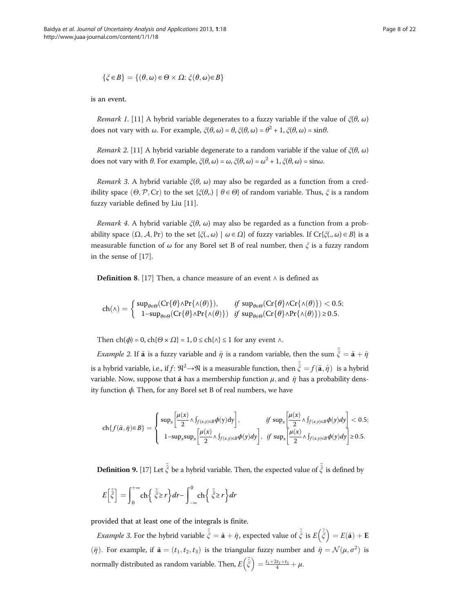$$
\{\xi\!\in\!B\}=\{(\theta,\omega)\!\in\!\Theta\times\varOmega\!\!:\, \xi(\theta,\omega)\!\!\in\!\boldsymbol{B}\}
$$

is an event.

Remark 1. [\[11\]](#page-21-0) A hybrid variable degenerates to a fuzzy variable if the value of  $\zeta(\theta, \omega)$ does not vary with  $\omega$ . For example,  $\zeta(\theta, \omega) = \theta$ ,  $\zeta(\theta, \omega) = \theta^2 + 1$ ,  $\zeta(\theta, \omega) = \sin \theta$ .

Remark 2. [\[11\]](#page-21-0) A hybrid variable degenerate to a random variable if the value of  $\zeta(\theta, \omega)$ does not vary with  $\theta$ . For example,  $\zeta(\theta, \omega) = \omega$ ,  $\zeta(\theta, \omega) = \omega^2 + 1$ ,  $\zeta(\theta, \omega) = \sin \omega$ .

Remark 3. A hybrid variable  $\xi(\theta, \omega)$  may also be regarded as a function from a credibility space  $(\Theta, \mathcal{P}, \text{Cr})$  to the set  $\{\xi(\theta,.) \mid \theta \in \Theta\}$  of random variable. Thus,  $\xi$  is a random fuzzy variable defined by Liu [\[11](#page-21-0)].

Remark 4. A hybrid variable  $\zeta(\theta, \omega)$  may also be regarded as a function from a probability space  $(\Omega, \mathcal{A}, \Pr)$  to the set  $\{\xi(., \omega) \mid \omega \in \Omega\}$  of fuzzy variables. If  $Cr\{\xi(., \omega) \in B\}$  is a measurable function of  $\omega$  for any Borel set B of real number, then  $\xi$  is a fuzzy random in the sense of [\[17\]](#page-21-0).

**Definition 8.** [[17](#page-21-0)] Then, a chance measure of an event  $∧$  is defined as

$$
\mathrm{ch}(\wedge) = \left\{ \begin{array}{ll} \sup_{\theta \in \Theta} (\mathrm{Cr}\{\theta\} \wedge \mathrm{Pr}\{\wedge(\theta)\}), & \text{if } \sup_{\theta \in \Theta} (\mathrm{Cr}\{\theta\} \wedge \mathrm{Pr}\{\wedge(\theta)\}) < 0.5; \\ 1 - \sup_{\theta \in \Theta} (\mathrm{Cr}\{\theta\} \wedge \mathrm{Pr}\{\wedge(\theta)\}) & \text{if } \sup_{\theta \in \Theta} (\mathrm{Cr}\{\theta\} \wedge \mathrm{Pr}\{\wedge(\theta)\}) \ge 0.5. \end{array} \right.
$$

Then  $\text{ch}(\phi) = 0$ ,  $\text{ch}\{\Theta \times \Omega\} = 1$ ,  $0 \leq \text{ch}\{\wedge\} \leq 1$  for any event  $\wedge$ .

*Example 2.* If  $\tilde{a}$  is a fuzzy variable and  $\hat{\eta}$  is a random variable, then the sum  $\hat{\xi} = \tilde{a} + \hat{\eta}$ is a hybrid variable, i.e., if  $f: \mathbb{R}^2 \to \mathbb{R}$  is a measurable function, then  $\tilde{\hat{\xi}} = f(\tilde{\mathbf{a}}, \hat{\eta})$  is a hybrid variable. Now, suppose that  $\tilde{a}$  has a membership function  $\mu$ , and  $\hat{\eta}$  has a probability density function  $\phi$ . Then, for any Borel set B of real numbers, we have

$$
\text{ch}\{f(\tilde{a},\hat{\eta}){\in}B\}=\left\{\begin{array}{ll} \sup_x\bigg[\frac{\mu(x)}{2}\wedge \int_{f(x,y){\in}B}\phi(y)\text{d}y\bigg], & \text{if}\ \sup_x\bigg[\frac{\mu(x)}{2}\wedge \int_{f(x,y){\in}B}\phi(y)\text{d}y\bigg]<0.5; \\ 1-\sup_x\sup_x\bigg[\frac{\mu(x)}{2}\wedge \int_{f(x,y){\in}B}\phi(y)\text{d}y\bigg], & \text{if}\ \sup_x\bigg[\frac{\mu(x)}{2}\wedge \int_{f(x,y){\in}B}\phi(y)\text{d}y\bigg]\ge0.5. \end{array}\right.
$$

**Definition 9.** [\[17](#page-21-0)] Let  $\tilde{\hat{\xi}}$  be a hybrid variable. Then, the expected value of  $\tilde{\hat{\xi}}$  is defined by

$$
E\left[\tilde{\hat{\xi}}\right] = \int_0^{+\infty} \mathrm{ch}\left\{\tilde{\hat{\xi}} \ge r\right\} dr - \int_{-\infty}^0 \mathrm{ch}\left\{\tilde{\hat{\xi}} \ge r\right\} dr
$$

provided that at least one of the integrals is finite.

*Example 3.* For the hybrid variable  $\tilde{\hat{\xi}} = \tilde{\mathbf{a}} + \hat{\eta}$ , expected value of  $\tilde{\hat{\xi}}$  is  $E (\tilde{\hat{\xi}}) = E(\tilde{\mathbf{a}}) + \mathbf{E}$  $\hat{\eta}$ ). For example, if  $\tilde{\mathbf{a}} = (t_1, t_2, t_3)$  is the triangular fuzzy number and  $\hat{\eta} = \mathcal{N}(\mu, \sigma^2)$  is normally distributed as random variable. Then,  $E\left(\tilde{\hat{\xi}}\right) = \frac{t_1+2t_2+t_3}{4} + \mu$ .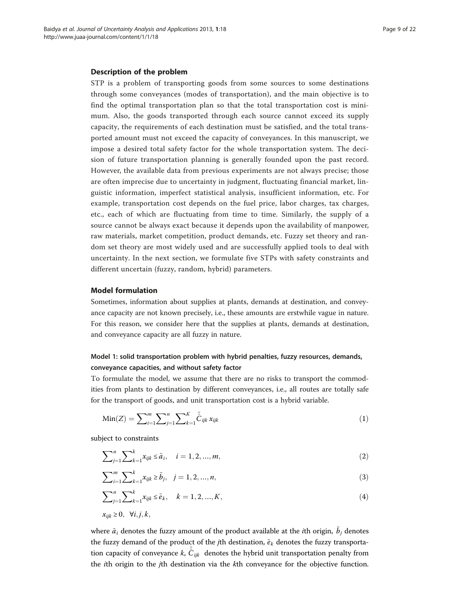### <span id="page-8-0"></span>Description of the problem

STP is a problem of transporting goods from some sources to some destinations through some conveyances (modes of transportation), and the main objective is to find the optimal transportation plan so that the total transportation cost is minimum. Also, the goods transported through each source cannot exceed its supply capacity, the requirements of each destination must be satisfied, and the total transported amount must not exceed the capacity of conveyances. In this manuscript, we impose a desired total safety factor for the whole transportation system. The decision of future transportation planning is generally founded upon the past record. However, the available data from previous experiments are not always precise; those are often imprecise due to uncertainty in judgment, fluctuating financial market, linguistic information, imperfect statistical analysis, insufficient information, etc. For example, transportation cost depends on the fuel price, labor charges, tax charges, etc., each of which are fluctuating from time to time. Similarly, the supply of a source cannot be always exact because it depends upon the availability of manpower, raw materials, market competition, product demands, etc. Fuzzy set theory and random set theory are most widely used and are successfully applied tools to deal with uncertainty. In the next section, we formulate five STPs with safety constraints and different uncertain (fuzzy, random, hybrid) parameters.

# Model formulation

Sometimes, information about supplies at plants, demands at destination, and conveyance capacity are not known precisely, i.e., these amounts are erstwhile vague in nature. For this reason, we consider here that the supplies at plants, demands at destination, and conveyance capacity are all fuzzy in nature.

# Model 1: solid transportation problem with hybrid penalties, fuzzy resources, demands, conveyance capacities, and without safety factor

To formulate the model, we assume that there are no risks to transport the commodities from plants to destination by different conveyances, i.e., all routes are totally safe for the transport of goods, and unit transportation cost is a hybrid variable.

$$
Min(Z) = \sum_{i=1}^{m} \sum_{j=1}^{n} \sum_{k=1}^{K} \tilde{C}_{ijk} x_{ijk}
$$
 (1)

subject to constraints

$$
\sum_{j=1}^{n} \sum_{k=1}^{k} x_{ijk} \le \tilde{a}_i, \quad i = 1, 2, ..., m,
$$
\n(2)

$$
\sum_{i=1}^{m} \sum_{k=1}^{k} x_{ijk} \ge \tilde{b}_j, \quad j = 1, 2, ..., n,
$$
\n(3)

$$
\sum_{j=1}^{n} \sum_{k=1}^{k} x_{ijk} \le \tilde{e}_k, \quad k = 1, 2, ..., K,
$$
\n(4)

$$
x_{ijk} \geq 0, \quad \forall i, j, k,
$$

where  ${\tilde a}_i$  denotes the fuzzy amount of the product available at the  $i$ th origin,  ${\tilde b}_j$  denotes the fuzzy demand of the product of the jth destination,  $\tilde{e}_k$  denotes the fuzzy transportation capacity of conveyance  $k$ ,  $\tilde{\hat{C}}_{ijk}$  denotes the hybrid unit transportation penalty from the ith origin to the jth destination via the kth conveyance for the objective function.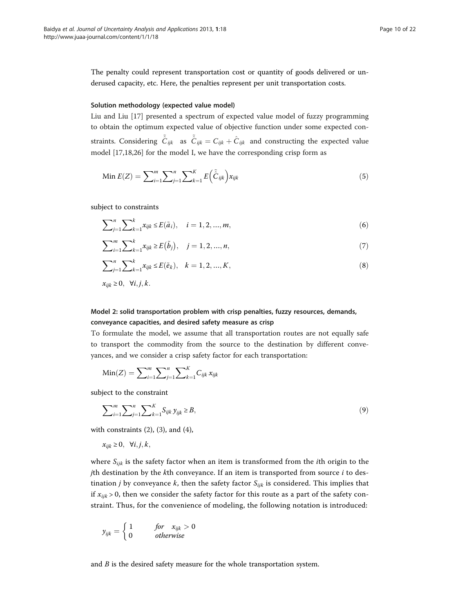<span id="page-9-0"></span>The penalty could represent transportation cost or quantity of goods delivered or underused capacity, etc. Here, the penalties represent per unit transportation costs.

# Solution methodology (expected value model)

Liu and Liu [[17\]](#page-21-0) presented a spectrum of expected value model of fuzzy programming to obtain the optimum expected value of objective function under some expected constraints. Considering  $\tilde{C}_{ijk}$  as  $\tilde{C}_{ijk} = C_{ijk} + \hat{C}_{ijk}$  and constructing the expected value model [\[17,18,26\]](#page-21-0) for the model I, we have the corresponding crisp form as

Min 
$$
E(Z) = \sum_{i=1}^{m} \sum_{j=1}^{n} \sum_{k=1}^{K} E(\tilde{C}_{ijk}) x_{ijk}
$$
 (5)

subject to constraints

$$
\sum_{j=1}^{n} \sum_{k=1}^{k} x_{ijk} \le E(\tilde{a}_i), \quad i = 1, 2, ..., m,
$$
 (6)

$$
\sum_{i=1}^{m} \sum_{k=1}^{k} x_{ijk} \ge E(\tilde{b}_j), \quad j = 1, 2, ..., n,
$$
\n(7)

$$
\sum_{j=1}^{n} \sum_{k=1}^{k} x_{ijk} \le E(\tilde{e}_k), \quad k = 1, 2, ..., K,
$$
\n(8)

$$
x_{ijk} \geq 0, \ \forall i, j, k.
$$

# Model 2: solid transportation problem with crisp penalties, fuzzy resources, demands, conveyance capacities, and desired safety measure as crisp

To formulate the model, we assume that all transportation routes are not equally safe to transport the commodity from the source to the destination by different conveyances, and we consider a crisp safety factor for each transportation:

$$
Min(Z) = \sum_{i=1}^{m} \sum_{j=1}^{n} \sum_{k=1}^{K} C_{ijk} x_{ijk}
$$

subject to the constraint

$$
\sum_{i=1}^{m} \sum_{j=1}^{n} \sum_{k=1}^{K} S_{ijk} y_{ijk} \ge B,
$$
\n(9)

with constraints  $(2)$  $(2)$ ,  $(3)$  $(3)$ , and  $(4)$  $(4)$ ,

$$
x_{ijk} \geq 0, \ \forall i, j, k,
$$

where  $S_{ijk}$  is the safety factor when an item is transformed from the *i*th origin to the jth destination by the  $k$ th conveyance. If an item is transported from source  $i$  to destination *j* by conveyance *k*, then the safety factor  $S_{ijk}$  is considered. This implies that if  $x_{ijk} > 0$ , then we consider the safety factor for this route as a part of the safety constraint. Thus, for the convenience of modeling, the following notation is introduced:

$$
y_{ijk} = \begin{cases} 1 & \text{for } x_{ijk} > 0\\ 0 & \text{otherwise} \end{cases}
$$

and  $B$  is the desired safety measure for the whole transportation system.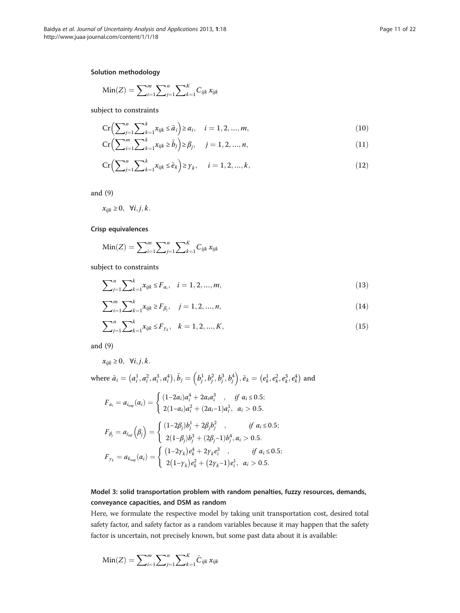# <span id="page-10-0"></span>Solution methodology

Min(Z) = 
$$
\sum_{i=1}^{m} \sum_{j=1}^{n} \sum_{k=1}^{K} C_{ijk} x_{ijk}
$$

subject to constraints

$$
\operatorname{Cr}\left(\sum_{j=1}^{n}\sum_{k=1}^{k}x_{ijk}\leq \tilde{a}_{i}\right)\geq\alpha_{i},\quad i=1,2,...,m,
$$
\n(10)

$$
Cr\left(\sum_{i=1}^{m} \sum_{k=1}^{k} x_{ijk} \ge \tilde{b}_j\right) \ge \beta_j, \quad j = 1, 2, ..., n,
$$
\n(11)

$$
\operatorname{Cr}\left(\sum_{j=1}^{n}\sum_{k=1}^{k}x_{ijk}\leq\tilde{e}_k\right)\geq\gamma_k,\quad i=1,2,...,k,\tag{12}
$$

and ([9\)](#page-9-0)

$$
x_{ijk} \geq 0, \ \forall i, j, k.
$$

# Crisp equivalences

Min(Z) = 
$$
\sum_{i=1}^{m} \sum_{j=1}^{n} \sum_{k=1}^{K} C_{ijk} x_{ijk}
$$

subject to constraints

$$
\sum_{j=1}^{n} \sum_{k=1}^{k} x_{ijk} \le F_{\alpha_i}, \quad i = 1, 2, ..., m,
$$
\n(13)

$$
\sum_{i=1}^{m} \sum_{k=1}^{k} x_{ijk} \ge F_{\beta_j}, \quad j = 1, 2, ..., n,
$$
\n(14)

$$
\sum_{j=1}^{n} \sum_{k=1}^{k} x_{ijk} \le F_{\gamma_k}, \quad k = 1, 2, ..., K,
$$
\n(15)

and ([9\)](#page-9-0)

$$
x_{ijk} \geq 0, \quad \forall i, j, k.
$$

where  $\tilde{a}_i = (a_i^1, a_i^2, a_i^3, a_i^4), \tilde{b}_j = (b_j^1, b_j^2, b_j^3, b_j^4), \tilde{e}_k = (e_k^1, e_k^2, e_k^3, e_k^4)$  and

$$
F_{\alpha_i} = a_{i_{\text{sup}}}(a_i) = \begin{cases} (1-2\alpha_i)a_i^4 + 2\alpha_i a_i^3, & \text{if } \alpha_i \le 0.5; \\ 2(1-\alpha_i)a_i^2 + (2\alpha_i-1)a_i^1, & \alpha_i > 0.5. \end{cases}
$$

$$
F_{\beta_j} = a_{j_{\text{inf}}}(\beta_j) = \begin{cases} (1-2\beta_j)b_j^1 + 2\beta_j b_j^2, & \text{if } \alpha_i \le 0.5; \\ 2(1-\beta_j)b_j^3 + (2\beta_j-1)b_j^4, & \alpha_i > 0.5. \end{cases}
$$

$$
F_{\gamma_k} = a_{k_{\text{sup}}}(\alpha_i) = \begin{cases} (1-2\gamma_k)e_k^4 + 2\gamma_k e_i^3, & \text{if } \alpha_i \le 0.5; \\ 2(1-\gamma_k)e_k^2 + (2\gamma_k-1)e_i^1, & \alpha_i > 0.5. \end{cases}
$$

# Model 3: solid transportation problem with random penalties, fuzzy resources, demands, conveyance capacities, and DSM as random

Here, we formulate the respective model by taking unit transportation cost, desired total safety factor, and safety factor as a random variables because it may happen that the safety factor is uncertain, not precisely known, but some past data about it is available:

Min(Z) = 
$$
\sum_{i=1}^{m} \sum_{j=1}^{n} \sum_{k=1}^{K} \hat{C}_{ijk} x_{ijk}
$$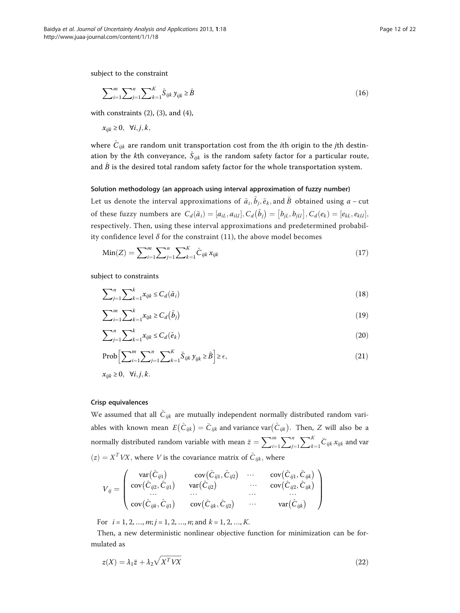<span id="page-11-0"></span>subject to the constraint

$$
\sum_{i=1}^{m} \sum_{j=1}^{n} \sum_{k=1}^{K} \hat{S}_{ijk} y_{ijk} \ge \hat{B}
$$
 (16)

with constraints  $(2)$  $(2)$ ,  $(3)$  $(3)$ , and  $(4)$  $(4)$ ,

 $x_{ijk} \geq 0$ ,  $\forall i, j, k$ ,

where  $\hat{C}_{ijk}$  are random unit transportation cost from the *i*th origin to the *j*th destination by the *k*th conveyance,  $\hat{S}_{ijk}$  is the random safety factor for a particular route, and  $\hat{B}$  is the desired total random safety factor for the whole transportation system.

#### Solution methodology (an approach using interval approximation of fuzzy number)

Let us denote the interval approximations of  $\tilde{a}_i, \tilde{b}_j, \tilde{e}_k,$  and  $\tilde{B}~$  obtained using  $\alpha$  – cut of these fuzzy numbers are  $C_d(\tilde{a}_i) = [a_{iL}, a_{iU}], C_d(\tilde{b}_j) = [b_{jL}, b_{jU}], C_d(e_k) = [e_{kL}, e_{kU}],$ respectively. Then, using these interval approximations and predetermined probability confidence level  $\delta$  for the constraint [\(11\)](#page-10-0), the above model becomes

$$
Min(Z) = \sum_{i=1}^{m} \sum_{j=1}^{n} \sum_{k=1}^{K} \hat{C}_{ijk} x_{ijk}
$$
 (17)

subject to constraints

$$
\sum_{j=1}^{n} \sum_{k=1}^{k} x_{ijk} \le C_d(\tilde{a}_i)
$$
\n(18)

$$
\sum_{i=1}^{m} \sum_{k=1}^{k} x_{ijk} \ge C_d(\tilde{b}_j)
$$
\n(19)

$$
\sum_{j=1}^{n} \sum_{k=1}^{k} x_{ijk} \le C_d(\tilde{e}_k)
$$
\n(20)

$$
\text{Prob}\Big[\sum_{i=1}^{m}\sum_{j=1}^{n}\sum_{k=1}^{K}\hat{S}_{ijk}\,y_{ijk}\geq\hat{B}\Big]\geq\epsilon,\tag{21}
$$

 $x_{ijk} \geq 0$ ,  $\forall i, j, k$ .

# Crisp equivalences

We assumed that all  $\hat{C}_{ijk}$  are mutually independent normally distributed random variables with known mean  $E(\hat{C}_{ijk}) = \bar{C}_{ijk}$  and variance var $(\hat{C}_{ijk})$ . Then, Z will also be a normally distributed random variable with mean  $\bar{z} = \sum_{i=1}^{m}$  $\sum^n$  $j=1$  $\sum_{k}$  $k=1$  $\overline{C}_{ijk} x_{ijk}$  and var  $\hat{z}(z) = X^T V X$ , where V is the covariance matrix of  $\hat{C}_{ijk}$ , where

$$
V_{ij} = \begin{pmatrix} \text{var}(\hat{C}_{ij1}) & \text{cov}(\hat{C}_{ij1}, \hat{C}_{ij2}) & \cdots & \text{cov}(\hat{C}_{ij1}, \hat{C}_{ijk}) \\ \text{cov}(\hat{C}_{ij2}, \hat{C}_{ij1}) & \text{var}(\hat{C}_{ij2}) & \cdots & \text{cov}(\hat{C}_{ij2}, \hat{C}_{ijk}) \\ \cdots & \cdots & \cdots & \cdots \\ \text{cov}(\hat{C}_{ijk}, \hat{C}_{ij1}) & \text{cov}(\hat{C}_{ijk}, \hat{C}_{ij2}) & \cdots & \text{var}(\hat{C}_{ijk}) \end{pmatrix}
$$

For  $i = 1, 2, ..., m; j = 1, 2, ..., n;$  and  $k = 1, 2, ..., K$ .

Then, a new deterministic nonlinear objective function for minimization can be formulated as

$$
z(X) = \lambda_1 \bar{z} + \lambda_2 \sqrt{X^T V X} \tag{22}
$$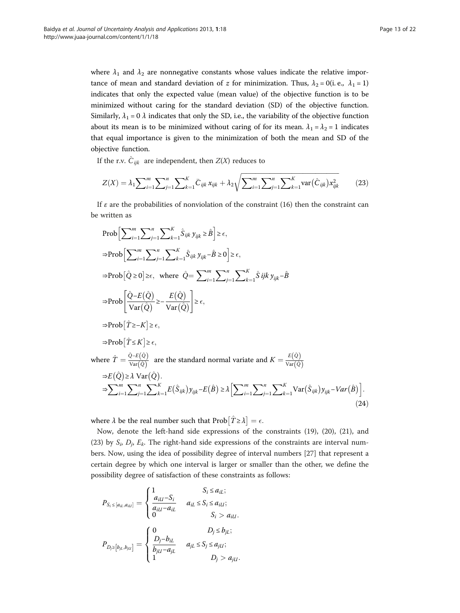<span id="page-12-0"></span>where  $\lambda_1$  and  $\lambda_2$  are nonnegative constants whose values indicate the relative importance of mean and standard deviation of z for minimization. Thus,  $\lambda_2 = 0$  (i.e.,  $\lambda_1 = 1$ ) indicates that only the expected value (mean value) of the objective function is to be minimized without caring for the standard deviation (SD) of the objective function. Similarly,  $\lambda_1 = 0$   $\lambda$  indicates that only the SD, i.e., the variability of the objective function about its mean is to be minimized without caring of for its mean.  $\lambda_1 = \lambda_2 = 1$  indicates that equal importance is given to the minimization of both the mean and SD of the objective function.

If the r.v.  $\hat{C}_{ijk}$  are independent, then  $Z(X)$  reduces to

$$
Z(X) = \lambda_1 \sum_{i=1}^m \sum_{j=1}^n \sum_{k=1}^K \bar{C}_{ijk} x_{ijk} + \lambda_2 \sqrt{\sum_{i=1}^m \sum_{j=1}^n \sum_{k=1}^K \text{var}(\hat{C}_{ijk}) x_{ijk}^2}
$$
(23)

If  $\varepsilon$  are the probabilities of nonviolation of the constraint ([16\)](#page-11-0) then the constraint can be written as

$$
\text{Prob}\Big[\sum_{i=1}^{m}\sum_{j=1}^{n}\sum_{k=1}^{K}\hat{S}_{ijk}y_{ijk}\geq \hat{B}\Big] \geq \epsilon,
$$
\n
$$
\Rightarrow \text{Prob}\Big[\sum_{i=1}^{m}\sum_{j=1}^{n}\sum_{k=1}^{K}\hat{S}_{ijk}y_{ijk}-\hat{B}\geq 0\Big] \geq \epsilon,
$$
\n
$$
\Rightarrow \text{Prob}\Big[\hat{Q}\geq 0\Big] \geq \epsilon, \text{ where } \hat{Q}=\sum_{i=1}^{m}\sum_{j=1}^{n}\sum_{k=1}^{K}\hat{S}ijk y_{ijk}-\hat{B}
$$
\n
$$
\Rightarrow \text{Prob}\Big[\hat{Q}-E(\hat{Q})\Big] \geq \epsilon,
$$
\n
$$
\Rightarrow \text{Prob}\Big[\hat{T}\geq -K\Big] \geq \epsilon,
$$
\n
$$
\Rightarrow \text{Prob}\Big[\hat{T}\leq K\Big] \geq \epsilon,
$$
\n
$$
\text{where } \hat{T}=\frac{\hat{Q}-E(\hat{Q})}{\text{Var}(\hat{Q})} \text{ are the standard normal variate and } K=\frac{E(\hat{Q})}{\text{Var}(\hat{Q})}
$$
\n
$$
\Rightarrow E(\hat{Q})\geq \lambda \text{ Var}(\hat{Q}).
$$
\n
$$
\Rightarrow \sum_{i=1}^{m}\sum_{j=1}^{n}\sum_{k=1}^{K}E(\hat{S}_{ijk})y_{ijk}-E(\hat{B}) \geq \lambda \Big[\sum_{i=1}^{m}\sum_{j=1}^{n}\sum_{k=1}^{K}Var(\hat{S}_{ijk})y_{ijk}-Var(\hat{B})\Big].
$$
\n(24)

where  $\lambda$  be the real number such that  $\text{Prob}\left[\hat{T} \geq \lambda\right] = \epsilon.$ 

Now, denote the left-hand side expressions of the constraints [\(19](#page-11-0)), [\(20\)](#page-11-0), ([21\)](#page-11-0), and (23) by  $S_i$ ,  $D_j$ ,  $E_k$ . The right-hand side expressions of the constraints are interval numbers. Now, using the idea of possibility degree of interval numbers [[27\]](#page-21-0) that represent a certain degree by which one interval is larger or smaller than the other, we define the possibility degree of satisfaction of these constraints as follows:

$$
P_{S_i \leq [a_{il}, a_{il}]} = \begin{cases} 1 & S_i \leq a_{il}; \\ \frac{a_{ill} - S_i}{a_{ill} - a_{il}} & a_{il} \leq S_i \leq a_{ill}; \\ 0 & S_i > a_{ill}. \end{cases}
$$

$$
P_{D_j \geq [b_{jl}, b_{jl}]} = \begin{cases} 0 & D_j \leq b_{jl}; \\ \frac{D_j - b_{il}}{b_{jl} - a_{jl}} & a_{jl} \leq S_j \leq a_{jll}; \\ 1 & D_j > a_{jll}. \end{cases}
$$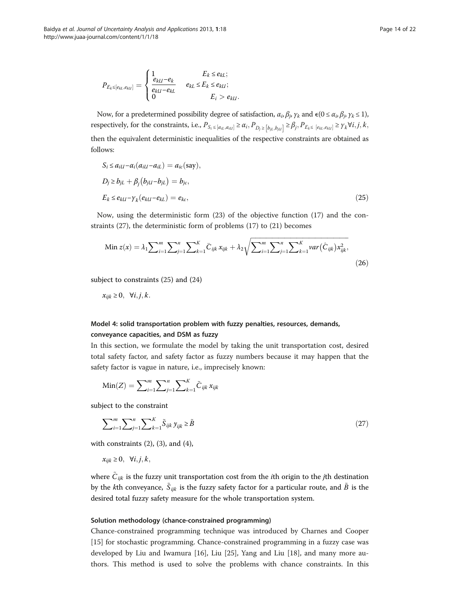$$
P_{E_k \leq [e_{kL}, e_{kU}]} = \begin{cases} 1 & E_k \leq e_{kL}; \\ \frac{e_{kU} - e_k}{e_{kU} - e_{kL}} & e_{kL} \leq E_k \leq e_{kU}; \\ 0 & E_i > e_{kU}. \end{cases}
$$

Now, for a predetermined possibility degree of satisfaction,  $\alpha_i, \beta_j, \gamma_k$  and  $\epsilon (0 \le \alpha_i, \beta_j, \gamma_k \le 1)$ , respectively, for the constraints, i.e.,  $P_{S_i \leq [a_{il}, a_{ill}]} \geq \alpha_i, P_{D_j \geq [b_{jl}, b_{jll}]} \geq \beta_j, P_{E_k \leq [e_{kl}, e_{kll}]} \geq \gamma_k \forall i, j, k$ ,<br>then the equivalent deterministic in equalities of the gase setting constraints are althined as then the equivalent deterministic inequalities of the respective constraints are obtained as follows:

$$
S_i \le a_{i\mathcal{U}} - \alpha_i (a_{i\mathcal{U}} - a_{i\mathcal{L}}) = a_{ic}(\text{say}),
$$
  
\n
$$
D_j \ge b_{j\mathcal{L}} + \beta_j (b_{j\mathcal{U}} - b_{j\mathcal{L}}) = b_{jc},
$$
  
\n
$$
E_k \le e_{kl} - \gamma_k (e_{kl} - e_{kl}) = e_{kc},
$$
\n(25)

Now, using the deterministic form [\(23](#page-12-0)) of the objective function [\(17\)](#page-11-0) and the constraints (27), the deterministic form of problems ([17\)](#page-11-0) to [\(21](#page-11-0)) becomes

Min 
$$
z(x) = \lambda_1 \sum_{i=1}^{m} \sum_{j=1}^{n} \sum_{k=1}^{K} \bar{C}_{ijk} x_{ijk} + \lambda_2 \sqrt{\sum_{i=1}^{m} \sum_{j=1}^{n} \sum_{k=1}^{K} \text{var}(\hat{C}_{ijk}) x_{ijk}^2},
$$
 (26)

subject to constraints (25) and ([24\)](#page-12-0)

 $x_{ijk} \geq 0$ ,  $\forall i, j, k$ .

# Model 4: solid transportation problem with fuzzy penalties, resources, demands, conveyance capacities, and DSM as fuzzy

In this section, we formulate the model by taking the unit transportation cost, desired total safety factor, and safety factor as fuzzy numbers because it may happen that the safety factor is vague in nature, i.e., imprecisely known:

$$
\text{Min}(Z) = \sum_{i=1}^{m} \sum_{j=1}^{n} \sum_{k=1}^{K} \tilde{C}_{ijk} x_{ijk}
$$

subject to the constraint

$$
\sum_{i=1}^{m} \sum_{j=1}^{n} \sum_{k=1}^{K} \tilde{S}_{ijk} y_{ijk} \ge \tilde{B}
$$
 (27)

with constraints  $(2)$  $(2)$ ,  $(3)$  $(3)$ , and  $(4)$  $(4)$ ,

 $x_{ijk} \geq 0$ ,  $\forall i, j, k$ ,

where  $\tilde{C}_{ijk}$  is the fuzzy unit transportation cost from the *i*th origin to the *j*th destination by the *k*th conveyance,  $\tilde{S}_{ijk}$  is the fuzzy safety factor for a particular route, and  $\tilde{B}$  is the desired total fuzzy safety measure for the whole transportation system.

# Solution methodology (chance-constrained programming)

Chance-constrained programming technique was introduced by Charnes and Cooper [[15\]](#page-21-0) for stochastic programming. Chance-constrained programming in a fuzzy case was developed by Liu and Iwamura [[16\]](#page-21-0), Liu [[25\]](#page-21-0), Yang and Liu [\[18](#page-21-0)], and many more authors. This method is used to solve the problems with chance constraints. In this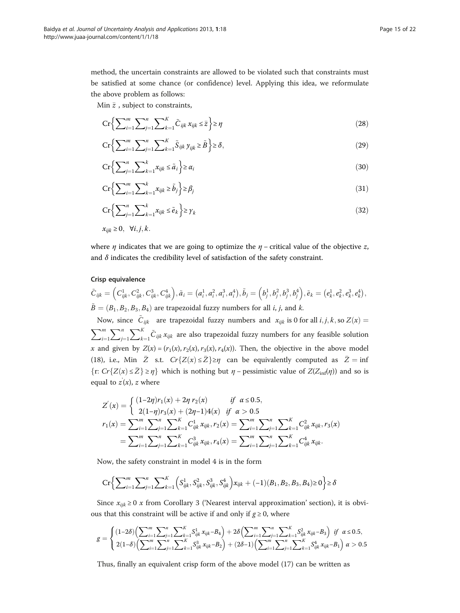method, the uncertain constraints are allowed to be violated such that constraints must be satisfied at some chance (or confidence) level. Applying this idea, we reformulate the above problem as follows:

Min  $\bar{z}$  , subject to constraints,

$$
\operatorname{Cr}\left\{\sum_{i=1}^{m}\sum_{j=1}^{n}\sum_{k=1}^{K}\tilde{C}_{ijk}x_{ijk}\leq\bar{z}\right\}\geq\eta\tag{28}
$$

$$
\operatorname{Cr} \left\{ \sum_{i=1}^{m} \sum_{j=1}^{n} \sum_{k=1}^{K} \tilde{S}_{ijk} y_{ijk} \ge \tilde{B} \right\} \ge \delta,
$$
\n(29)

$$
\mathbf{Cr}\left\{\sum_{j=1}^{n}\sum_{k=1}^{k}x_{ijk}\leq \tilde{a}_i\right\}\geq \alpha_i\tag{30}
$$

$$
\operatorname{Cr}\left\{\sum_{i=1}^{m}\sum_{k=1}^{k}x_{ijk}\geq\tilde{b}_{j}\right\}\geq\beta_{j}\tag{31}
$$

$$
\operatorname{Cr}\left\{\sum_{j=1}^{n}\sum_{k=1}^{k}x_{ijk}\leq\tilde{e}_{k}\right\}\geq\gamma_{k}\tag{32}
$$

 $x_{ijk} \geq 0$ ,  $\forall i, j, k$ .

where  $\eta$  indicates that we are going to optimize the  $\eta$  – critical value of the objective z, and  $\delta$  indicates the credibility level of satisfaction of the safety constraint.

#### Crisp equivalence

$$
\tilde{C}_{ijk} = \left(C_{ijk}^1, C_{ijk}^2, C_{ijk}^3, C_{ijk}^4\right), \tilde{a}_i = \left(a_i^1, a_i^2, a_i^3, a_i^4\right), \tilde{b}_j = \left(b_j^1, b_j^2, b_j^3, b_j^4\right), \tilde{e}_k = \left(e_k^1, e_k^2, e_k^3, e_k^4\right), \tilde{B} = \left(B_1, B_2, B_3, B_4\right)
$$
 are trapezoidal fuzzy numbers for all *i*, *j*, and *k*.

Now, since  $\tilde{C}_{ijk}$  are trapezoidal fuzzy numbers and  $x_{ijk}$  is 0 for all  $i, j, k$ , so  $Z(x) =$  $\sum_{m}$  $\frac{i=1}{1}$  $\sum^n$  $j=1$  $\sum_{k}$  $k=1$  $\tilde{C}_{ijk} x_{ijk}$  are also trapezoidal fuzzy numbers for any feasible solution x and given by  $Z(x) = (r_1(x), r_2(x), r_3(x), r_4(x))$ . Then, the objective in the above model ([18\)](#page-11-0), i.e., Min  $\bar{Z}$  s.t.  $Cr\{Z(x) \leq \bar{Z}\} \geq \eta$  can be equivalently computed as  $\bar{Z} = \inf_{\xi \in \mathcal{L}} (Z(\xi) \leq \bar{Z})$  $\{r: Cr\{Z(x) \le \bar{Z}\} \ge \eta\}$  which is nothing but  $\eta$  – pessimistic value of  $Z(Z_{\text{inf}}(\eta))$  and so is equal to  $z(x)$ , z where

$$
Z'(x) = \begin{cases} (1-2\eta)r_1(x) + 2\eta r_2(x) & \text{if } \alpha \le 0.5, \\ 2(1-\eta)r_3(x) + (2\eta-1)4(x) & \text{if } \alpha > 0.5 \end{cases}
$$
  

$$
r_1(x) = \sum_{i=1}^m \sum_{j=1}^n \sum_{k=1}^K C_{ijk}^1 x_{ijk}, r_2(x) = \sum_{i=1}^m \sum_{j=1}^n \sum_{k=1}^K C_{ijk}^2 x_{ijk}, r_3(x)
$$
  

$$
= \sum_{i=1}^m \sum_{j=1}^n \sum_{k=1}^K C_{ijk}^3 x_{ijk}, r_4(x) = \sum_{i=1}^m \sum_{j=1}^n \sum_{k=1}^K C_{ijk}^4 x_{ijk}.
$$

Now, the safety constraint in model 4 is in the form

$$
\mathbf{Cr} \Big\{\sum\nolimits_{i=1}^m\sum\nolimits_{j=1}^n\sum\nolimits_{k=1}^K \Big(S_{ijk}^1,S_{ijk}^2,S_{ijk}^3,S_{ijk}^4\Big)x_{ijk} + (-1)(B_1,B_2,B_3,B_4) \ge 0 \Big\} \ge \delta
$$

Since  $x_{ijk} \geq 0$  x from Corollary [3](#page-6-0) ('[Nearest interval approximation](#page-4-0)' section), it is obvious that this constraint will be active if and only if  $g \ge 0$ , where

$$
g = \begin{cases} (1-2\delta) \left( \sum_{i=1}^{m} \sum_{j=1}^{n} \sum_{k=1}^{K} S_{ijk}^{1} x_{ijk} - B_{4} \right) + 2\delta \left( \sum_{i=1}^{m} \sum_{j=1}^{n} \sum_{k=1}^{K} S_{ijk}^{2} x_{ijk} - B_{3} \right) & \text{if } \alpha \leq 0.5, \\ 2(1-\delta) \left( \sum_{i=1}^{m} \sum_{j=1}^{n} \sum_{k=1}^{K} S_{ijk}^{3} x_{ijk} - B_{2} \right) + (2\delta - 1) \left( \sum_{i=1}^{m} \sum_{j=1}^{n} \sum_{k=1}^{K} S_{ijk}^{4} x_{ijk} - B_{1} \right) & \alpha > 0.5 \end{cases}
$$

Thus, finally an equivalent crisp form of the above model [\(17](#page-11-0)) can be written as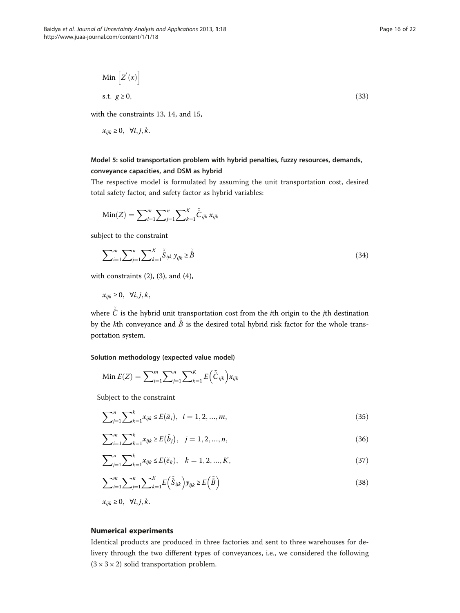$$
\text{Min}\left[Z(x)\right] \n\text{s.t. } g \ge 0,
$$
\n(33)

with the constraints [13](#page-10-0), [14](#page-10-0), and [15,](#page-10-0)

$$
x_{ijk} \geq 0, \quad \forall i, j, k.
$$

# Model 5: solid transportation problem with hybrid penalties, fuzzy resources, demands, conveyance capacities, and DSM as hybrid

The respective model is formulated by assuming the unit transportation cost, desired total safety factor, and safety factor as hybrid variables:

Min(Z) = 
$$
\sum_{i=1}^{m} \sum_{j=1}^{n} \sum_{k=1}^{K} \tilde{C}_{ijk} x_{ijk}
$$

subject to the constraint

$$
\sum_{i=1}^{m} \sum_{j=1}^{n} \sum_{k=1}^{K} \tilde{\hat{S}}_{ijk} y_{ijk} \ge \tilde{\hat{B}} \tag{34}
$$

with constraints  $(2)$  $(2)$ ,  $(3)$  $(3)$ , and  $(4)$  $(4)$ ,

$$
x_{ijk} \geq 0, \ \forall i, j, k,
$$

where  $\tilde{\hat{C}}$  is the hybrid unit transportation cost from the *i*th origin to the *j*th destination by the kth conveyance and  $\tilde{\hat{B}}$  is the desired total hybrid risk factor for the whole transportation system.

Solution methodology (expected value model)

Min 
$$
E(Z) = \sum_{i=1}^{m} \sum_{j=1}^{n} \sum_{k=1}^{K} E(\tilde{\hat{C}}_{ijk}) x_{ijk}
$$

Subject to the constraint

$$
\sum_{j=1}^{n} \sum_{k=1}^{k} x_{ijk} \le E(\tilde{a}_i), \quad i = 1, 2, ..., m,
$$
\n(35)

$$
\sum_{i=1}^{m} \sum_{k=1}^{k} x_{ijk} \ge E(\tilde{b}_j), \quad j = 1, 2, ..., n,
$$
\n(36)

$$
\sum_{j=1}^{n} \sum_{k=1}^{k} x_{ijk} \le E(\tilde{e}_k), \quad k = 1, 2, ..., K,
$$
\n(37)

$$
\sum_{i=1}^{m} \sum_{j=1}^{n} \sum_{k=1}^{K} E\left(\tilde{\hat{S}}_{ijk}\right) y_{ijk} \ge E\left(\tilde{\hat{B}}\right)
$$
\n(38)

 $x_{ijk} \geq 0$ ,  $\forall i, j, k$ .

# Numerical experiments

Identical products are produced in three factories and sent to three warehouses for delivery through the two different types of conveyances, i.e., we considered the following  $(3 \times 3 \times 2)$  solid transportation problem.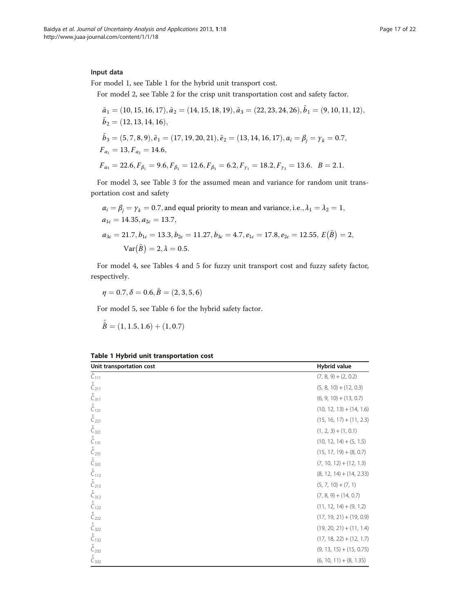# Input data

For model 1, see Table 1 for the hybrid unit transport cost.

For model 2, see Table [2](#page-17-0) for the crisp unit transportation cost and safety factor.

$$
\tilde{a}_1 = (10, 15, 16, 17), \tilde{a}_2 = (14, 15, 18, 19), \tilde{a}_3 = (22, 23, 24, 26), \tilde{b}_1 = (9, 10, 11, 12), \tilde{b}_2 = (12, 13, 14, 16), \tilde{b}_3 = (5, 7, 8, 9), \tilde{e}_1 = (17, 19, 20, 21), \tilde{e}_2 = (13, 14, 16, 17), \alpha_i = \beta_j = \gamma_k = 0.7, \nF_{\alpha_1} = 13, F_{\alpha_2} = 14.6, \nF_{\alpha_3} = 22.6, F_{\beta_1} = 9.6, F_{\beta_2} = 12.6, F_{\beta_3} = 6.2, F_{\gamma_1} = 18.2, F_{\gamma_2} = 13.6. \quad B = 2.1.
$$

For model 3, see Table [3](#page-18-0) for the assumed mean and variance for random unit transportation cost and safety

$$
\alpha_i = \beta_j = \gamma_k = 0.7
$$
, and equal priority to mean and variance, i.e.,  $\lambda_1 = \lambda_2 = 1$ ,  
\n $a_{1c} = 14.35$ ,  $a_{2c} = 13.7$ ,  
\n $a_{3c} = 21.7$ ,  $b_{1c} = 13.3$ ,  $b_{2c} = 11.27$ ,  $b_{3c} = 4.7$ ,  $e_{1c} = 17.8$ ,  $e_{2c} = 12.55$ ,  $E(\tilde{B}) = 2$ ,  
\n
$$
Var(\tilde{B}) = 2
$$
,  $\lambda = 0.5$ .

For model 4, see Tables [4](#page-19-0) and [5](#page-19-0) for fuzzy unit transport cost and fuzzy safety factor, respectively.

 $\eta = 0.7, \delta = 0.6, \tilde{B} = (2, 3, 5, 6)$ 

For model 5, see Table [6](#page-20-0) for the hybrid safety factor.

$$
\hat{B} = (1, 1.5, 1.6) + (1, 0.7)
$$

~

| Unit transportation cost | Hybrid value               |
|--------------------------|----------------------------|
| $\hat{C}_{111}$          | $(7, 8, 9) + (2, 0.2)$     |
| $\tilde{\hat{C}}_{211}$  | $(5, 8, 10) + (12, 0.3)$   |
| $\tilde{\hat{C}}_{311}$  | $(6, 9, 10) + (13, 0.7)$   |
| $\tilde{\hat{C}}_{121}$  | $(10, 12, 13) + (14, 1.6)$ |
| $\tilde{\hat{C}}_{221}$  | $(15, 16, 17) + (11, 2.3)$ |
| $\tilde{\hat{C}}_{321}$  | $(1, 2, 3) + (1, 0.1)$     |
| $\tilde{\hat{C}}_{131}$  | $(10, 12, 14) + (5, 1.5)$  |
| $\tilde{\hat{C}}_{231}$  | $(15, 17, 19) + (8, 0.7)$  |
| $\tilde{\hat{C}}_{331}$  | $(7, 10, 12) + (12, 1.3)$  |
| $\tilde{\hat{C}}_{112}$  | $(8, 12, 14) + (14, 2.33)$ |
| $\tilde{\hat{C}}_{212}$  | $(5, 7, 10) + (7, 1)$      |
| $\tilde{\hat{C}}_{312}$  | $(7, 8, 9) + (14, 0.7)$    |
| $\tilde{\hat{C}}_{122}$  | $(11, 12, 14) + (9, 1.2)$  |
| $\tilde{\hat{C}}_{222}$  | $(17, 19, 21) + (19, 0.9)$ |
| $\tilde{\hat{C}}_{322}$  | $(19, 20, 21) + (11, 1.4)$ |
| $\tilde{\hat{C}}_{132}$  | $(17, 18, 22) + (12, 1.7)$ |
| $\tilde{\hat{C}}_{232}$  | $(9, 13, 15) + (15, 0.75)$ |
| $\tilde{\hat{C}}_{332}$  | $(6, 10, 11) + (8, 1.35)$  |

Table 1 Hybrid unit transportation cost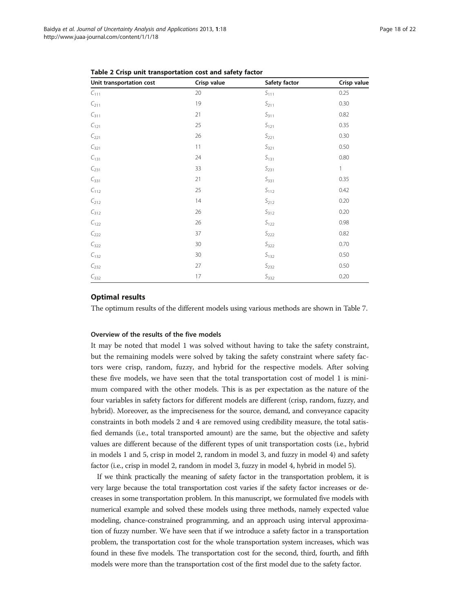| Unit transportation cost | Crisp value | Safety factor      | Crisp value  |
|--------------------------|-------------|--------------------|--------------|
| $C_{111}$                | 20          | $S_{111}$          | 0.25         |
| $C_{211}$                | 19          | $S_{211}$          | 0.30         |
| $C_{311}$                | 21          | $S_{311}$          | 0.82         |
| $C_{121}$                | 25          | $\mathsf{S}_{121}$ | 0.35         |
| $C_{221}$                | 26          | $S_{221}$          | 0.30         |
| $C_{321}$                | 11          | $S_{321}$          | 0.50         |
| $C_{131}$                | 24          | $S_{131}$          | 0.80         |
| $C_{231}$                | 33          | $S_{231}$          | $\mathbf{1}$ |
| $C_{331}$                | 21          | $S_{331}$          | 0.35         |
| $C_{112}$                | 25          | $S_{112}$          | 0.42         |
| $C_{212}$                | 14          | $S_{212}$          | 0.20         |
| $C_{312}$                | 26          | $S_{312}$          | 0.20         |
| $C_{122}$                | 26          | $S_{122}$          | 0.98         |
| $C_{222}$                | 37          | $S_{222}$          | 0.82         |
| $C_{322}$                | 30          | $S_{322}$          | 0.70         |
| $C_{132}$                | 30          | $S_{132}$          | 0.50         |
| $C_{232}$                | 27          | $S_{232}$          | 0.50         |
| $C_{332}$                | 17          | $S_{332}$          | 0.20         |

<span id="page-17-0"></span>Table 2 Crisp unit transportation cost and safety factor

#### Optimal results

The optimum results of the different models using various methods are shown in Table [7.](#page-20-0)

#### Overview of the results of the five models

It may be noted that model 1 was solved without having to take the safety constraint, but the remaining models were solved by taking the safety constraint where safety factors were crisp, random, fuzzy, and hybrid for the respective models. After solving these five models, we have seen that the total transportation cost of model 1 is minimum compared with the other models. This is as per expectation as the nature of the four variables in safety factors for different models are different (crisp, random, fuzzy, and hybrid). Moreover, as the impreciseness for the source, demand, and conveyance capacity constraints in both models 2 and 4 are removed using credibility measure, the total satisfied demands (i.e., total transported amount) are the same, but the objective and safety values are different because of the different types of unit transportation costs (i.e., hybrid in models 1 and 5, crisp in model 2, random in model 3, and fuzzy in model 4) and safety factor (i.e., crisp in model 2, random in model 3, fuzzy in model 4, hybrid in model 5).

If we think practically the meaning of safety factor in the transportation problem, it is very large because the total transportation cost varies if the safety factor increases or decreases in some transportation problem. In this manuscript, we formulated five models with numerical example and solved these models using three methods, namely expected value modeling, chance-constrained programming, and an approach using interval approximation of fuzzy number. We have seen that if we introduce a safety factor in a transportation problem, the transportation cost for the whole transportation system increases, which was found in these five models. The transportation cost for the second, third, fourth, and fifth models were more than the transportation cost of the first model due to the safety factor.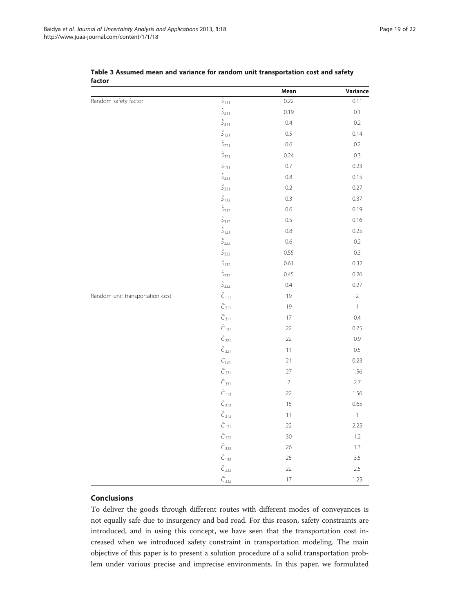|                                 |                         | Mean            | Variance       |
|---------------------------------|-------------------------|-----------------|----------------|
| Random safety factor            | $\hat{\varsigma}_{111}$ | 0.22            | 0.11           |
|                                 | $\hat{\cal S}_{211}$    | 0.19            | 0.1            |
|                                 | $\hat{\cal S}_{311}$    | $0.4\,$         | 0.2            |
|                                 | $\hat{\cal S}_{121}$    | $0.5\,$         | 0.14           |
|                                 | $\hat{\cal S}_{221}$    | $0.6\,$         | 0.2            |
|                                 | $\hat{\cal S}_{321}$    | 0.24            | 0.3            |
|                                 | $S_{131}$               | $0.7\,$         | 0.23           |
|                                 | $\hat{\cal S}_{231}$    | $0.8\,$         | 0.15           |
|                                 | $\hat{\cal S}_{331}$    | $0.2\,$         | 0.27           |
|                                 | $\hat{\cal S}_{112}$    | 0.3             | 0.37           |
|                                 | $\hat{\cal S}_{212}$    | $0.6\,$         | 0.19           |
|                                 | $\hat{\cal S}_{312}$    | $0.5\,$         | 0.16           |
|                                 | $\hat{\cal S}_{121}$    | $0.8\,$         | 0.25           |
|                                 | $\hat{\cal S}_{222}$    | $0.6\,$         | 0.2            |
|                                 | $\hat{\cal S}_{322}$    | 0.55            | 0.3            |
|                                 | $\hat{\cal S}_{132}$    | 0.61            | 0.32           |
|                                 | $\hat{\cal S}_{232}$    | 0.45            | 0.26           |
|                                 | $\hat{\cal S}_{332}$    | $0.4\,$         | 0.27           |
| Random unit transportation cost | $\hat{C}_{111}$         | 19              | $\overline{2}$ |
|                                 | $\hat{C}_{211}$         | 19              | $\mathbf{1}$   |
|                                 | $\hat{C}_{311}$         | $17\,$          | $0.4\,$        |
|                                 | $\hat{C}_{121}$         | 22              | 0.75           |
|                                 | $\hat{C}_{221}$         | 22              | 0.9            |
|                                 | $\hat{C}_{321}$         | $11\,$          | $0.5\,$        |
|                                 | $C_{131}$               | 21              | 0.23           |
|                                 | $\hat{C}_{231}$         | 27              | 1.56           |
|                                 | $\hat{C}_{331}$         | $\sqrt{2}$      | 2.7            |
|                                 | $\hat{C}_{112}$         | 22              | 1.56           |
|                                 | $\hat{C}_{212}$         | 15              | 0.65           |
|                                 | $\hat{C}_{312}$         | $11\,$          | $\mathbbm{1}$  |
|                                 | $\hat{C}_{121}$         | 22              | 2.25           |
|                                 | $\hat{C}_{222}$         | 30 <sub>o</sub> | $1.2\,$        |
|                                 | $\hat{C}_{322}$         | 26              | $1.3\,$        |
|                                 | $\hat{C}_{132}$         | 25              | 3.5            |
|                                 | $\hat{C}_{232}$         | 22              | $2.5\,$        |
|                                 | $\hat{C}_{332}$         | $17\,$          | 1.25           |

<span id="page-18-0"></span>Table 3 Assumed mean and variance for random unit transportation cost and safety factor

# Conclusions

To deliver the goods through different routes with different modes of conveyances is not equally safe due to insurgency and bad road. For this reason, safety constraints are introduced, and in using this concept, we have seen that the transportation cost increased when we introduced safety constraint in transportation modeling. The main objective of this paper is to present a solution procedure of a solid transportation problem under various precise and imprecise environments. In this paper, we formulated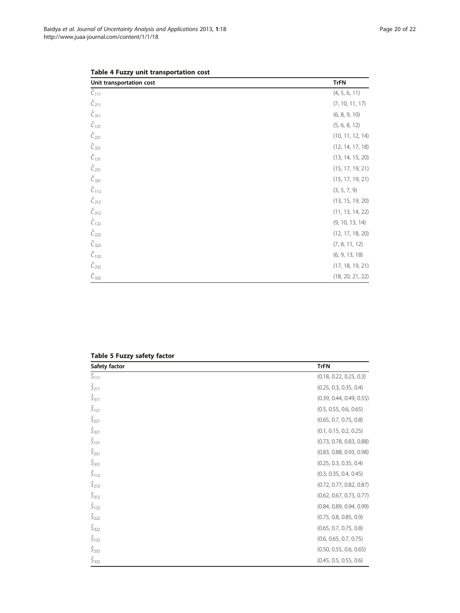| Unit transportation cost     | <b>TrFN</b>      |
|------------------------------|------------------|
| $\overline{\tilde{C}_{111}}$ | (4, 5, 6, 11)    |
| $\tilde{C}_{211}$            | (7, 10, 11, 17)  |
| $\tilde{C}_{311}$            | (6, 8, 9, 10)    |
| $\tilde{C}_{121}$            | (5, 6, 8, 12)    |
| $\tilde{C}_{221}$            | (10, 11, 12, 14) |
| $\tilde{C}_{321}$            | (12, 14, 17, 18) |
| $\tilde{C}_{131}$            | (13, 14, 15, 20) |
| $\tilde{C}_{231}$            | (15, 17, 19, 21) |
| $\tilde{C}_{331}$            | (15, 17, 19, 21) |
| $\tilde{C}_{112}$            | (3, 5, 7, 9)     |
| $\tilde{C}_{212}$            | (13, 15, 19, 20) |
| $\tilde{C}_{312}$            | (11, 13, 14, 22) |
| $\tilde{C}_{122}$            | (9, 10, 13, 14)  |
| $\tilde{C}_{222}$            | (12, 17, 18, 20) |
| $\tilde{C}_{322}$            | (7, 8, 11, 12)   |
| $\tilde{C}_{132}$            | (6, 9, 13, 18)   |
| $\tilde{C}_{232}$            | (17, 18, 19, 21) |
| $\tilde{C}_{332}$            | (18, 20, 21, 22) |

<span id="page-19-0"></span>

|  |  |  | Table 4 Fuzzy unit transportation cost |  |
|--|--|--|----------------------------------------|--|
|--|--|--|----------------------------------------|--|

| Safety factor               | <b>TrFN</b>              |
|-----------------------------|--------------------------|
| $\tilde{S}_{111}$           | (0.18, 0.22, 0.25, 0.3)  |
| $\tilde{S}_{211}$           | (0.25, 0.3, 0.35, 0.4)   |
| $\tilde{\mathcal{S}}_{311}$ | (0.39, 0.44, 0.49, 0.55) |
| $\tilde{S}_{121}$           | (0.5, 0.55, 0.6, 0.65)   |
| $\tilde{S}_{221}$           | (0.65, 0.7, 0.75, 0.8)   |
| $\tilde{S}_{321}$           | (0.1, 0.15, 0.2, 0.25)   |
| $\tilde{S}_{131}$           | (0.73, 0.78, 0.83, 0.88) |
| $\tilde{S}_{231}$           | (0.83, 0.88, 0.93, 0.98) |
| $\tilde{S}_{331}$           | (0.25, 0.3, 0.35, 0.4)   |
| $\tilde{S}_{112}$           | (0.3, 0.35, 0.4, 0.45)   |
| $\tilde{S}_{212}$           | (0.72, 0.77, 0.82, 0.87) |
| $\tilde{\mathsf{S}}_{312}$  | (0.62, 0.67, 0.73, 0.77) |
| $\tilde{S}_{122}$           | (0.84, 0.89, 0.94, 0.99) |
| $\tilde{S}_{222}$           | (0.75, 0.8, 0.85, 0.9)   |
| $\tilde{S}_{322}$           | (0.65, 0.7, 0.75, 0.8)   |
| $\tilde{S}_{132}$           | (0.6, 0.65, 0.7, 0.75)   |
| $\tilde{S}_{232}$           | (0.50, 0.55, 0.6, 0.65)  |
| $\tilde{S}_{332}$           | (0.45, 0.5, 0.55, 0.6)   |

#### Table 5 Fuzzy safety factor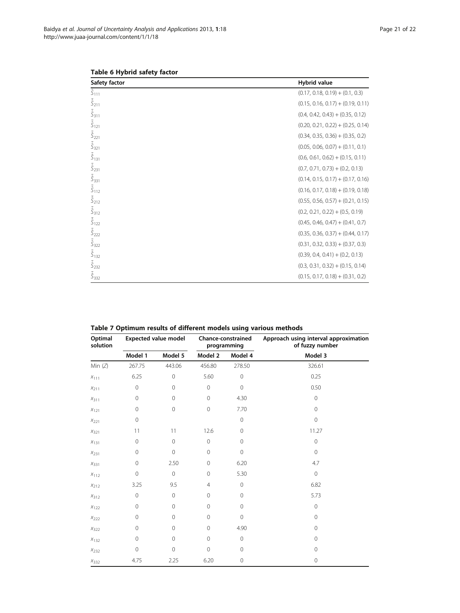| Safety factor                    | <b>Hybrid value</b>                 |
|----------------------------------|-------------------------------------|
| $\hat{\mathsf{S}}_{111}$         | $(0.17, 0.18, 0.19) + (0.1, 0.3)$   |
| $\tilde{\hat{S}}_{211}$          | $(0.15, 0.16, 0.17) + (0.19, 0.11)$ |
| $\tilde{\hat{\mathsf{S}}}_{311}$ | $(0.4, 0.42, 0.43) + (0.35, 0.12)$  |
| $\tilde{\hat{S}}_{121}$          | $(0.20, 0.21, 0.22) + (0.25, 0.14)$ |
| $\tilde{\hat{\zeta}}_{221}$      | $(0.34, 0.35, 0.36) + (0.35, 0.2)$  |
| $\tilde{\hat{S}}_{321}$          | $(0.05, 0.06, 0.07) + (0.11, 0.1)$  |
| $\tilde{\hat{S}}_{131}$          | $(0.6, 0.61, 0.62) + (0.15, 0.11)$  |
| $\tilde{\hat{S}}_{231}$          | $(0.7, 0.71, 0.73) + (0.2, 0.13)$   |
| $\tilde{\hat{S}}_{331}$          | $(0.14, 0.15, 0.17) + (0.17, 0.16)$ |
| $\tilde{\hat{\mathsf{S}}}_{112}$ | $(0.16, 0.17, 0.18) + (0.19, 0.18)$ |
| $\tilde{\hat{\zeta}}_{212}$      | $(0.55, 0.56, 0.57) + (0.21, 0.15)$ |
| $\tilde{\hat{\mathsf{S}}}_{312}$ | $(0.2, 0.21, 0.22) + (0.5, 0.19)$   |
| $\tilde{\hat{\varsigma}}_{122}$  | $(0.45, 0.46, 0.47) + (0.41, 0.7)$  |
| $\tilde{\hat{\varsigma}}_{222}$  | $(0.35, 0.36, 0.37) + (0.44, 0.17)$ |
| $\tilde{\hat{\mathsf{S}}}_{322}$ | $(0.31, 0.32, 0.33) + (0.37, 0.3)$  |
| $\tilde{\hat{S}}_{132}$          | $(0.39, 0.4, 0.41) + (0.2, 0.13)$   |
| $\hat{\zeta}_{232}$              | $(0.3, 0.31, 0.32) + (0.15, 0.14)$  |
| $\tilde{\hat{\mathsf{S}}}_{332}$ | $(0.15, 0.17, 0.18) + (0.31, 0.2)$  |

<span id="page-20-0"></span>Table 6 Hybrid safety factor

| Optimal<br>solution | <b>Expected value model</b> |                | Chance-constrained<br>programming |             | Approach using interval approximation<br>of fuzzy number |  |
|---------------------|-----------------------------|----------------|-----------------------------------|-------------|----------------------------------------------------------|--|
|                     | Model 1                     | Model 5        | Model 2                           | Model 4     | Model 3                                                  |  |
| Min $(Z)$           | 267.75                      | 443.06         | 456.80                            | 278.50      | 326.61                                                   |  |
| $X_{111}$           | 6.25                        | $\mathbf 0$    | 5.60                              | $\mathbf 0$ | 0.25                                                     |  |
| $X_{211}$           | $\mathbf 0$                 | $\mathbf 0$    | $\mathbf 0$                       | $\mathbf 0$ | 0.50                                                     |  |
| $X_{311}$           | $\mathbf 0$                 | $\mathbf 0$    | $\mathbf 0$                       | 4.30        | $\circ$                                                  |  |
| $X_{121}$           | $\mathbf 0$                 | $\mathsf O$    | $\overline{0}$                    | 7.70        | $\mathbf 0$                                              |  |
| $X_{221}$           | $\mathbb O$                 |                |                                   | $\mathbf 0$ | $\mathbf 0$                                              |  |
| $X_{321}$           | 11                          | 11             | 12.6                              | $\mathbf 0$ | 11.27                                                    |  |
| $X_{131}$           | 0                           | $\mathbf 0$    | $\mathbf 0$                       | $\mathbf 0$ | $\mathbf 0$                                              |  |
| $X_{231}$           | 0                           | $\mathbf 0$    | $\mathbf 0$                       | $\mathbf 0$ | $\overline{0}$                                           |  |
| $X_{331}$           | $\mathsf{O}\xspace$         | 2.50           | $\mathbf 0$                       | 6.20        | 4.7                                                      |  |
| $X_{112}$           | $\mathbf 0$                 | $\mathbf 0$    | $\mathbf 0$                       | 5.30        | $\mathbf 0$                                              |  |
| $X_{212}$           | 3.25                        | 9.5            | $\overline{4}$                    | $\mathbf 0$ | 6.82                                                     |  |
| $X_{312}$           | $\mathbf 0$                 | $\mathbf 0$    | $\mathbf 0$                       | $\mathbf 0$ | 5.73                                                     |  |
| $X_{122}$           | $\mathbf 0$                 | $\mathbf 0$    | $\mathbf 0$                       | $\mathbf 0$ | $\mathbf 0$                                              |  |
| $X_{222}$           | $\mathbf 0$                 | $\mathbf 0$    | $\mathbf 0$                       | $\mathbf 0$ | $\mathsf{O}\xspace$                                      |  |
| $X_{322}$           | 0                           | $\overline{0}$ | $\mathbf 0$                       | 4.90        | $\mathsf{O}\xspace$                                      |  |
| $X_{132}$           | $\mathbf 0$                 | $\mathbf 0$    | $\mathbf 0$                       | $\mathbf 0$ | $\circ$                                                  |  |
| $X_{232}$           | $\mathbf 0$                 | $\mathbf 0$    | $\overline{0}$                    | $\mathbf 0$ | $\mathbf 0$                                              |  |
| $X_{332}$           | 4.75                        | 2.25           | 6.20                              | $\mathbf 0$ | $\mathbf 0$                                              |  |

Table 7 Optimum results of different models using various methods